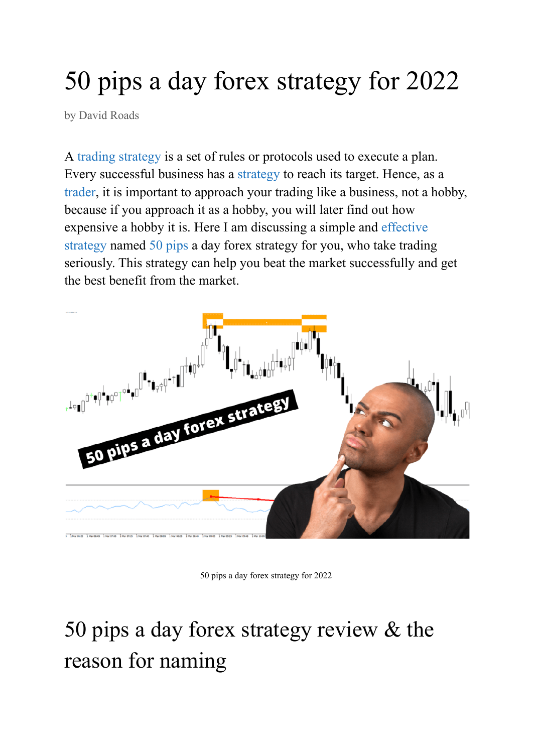# 50 pips a day forex strategy for 2022

by David [Roads](https://www.parkingpips.com/author/david-roads/)

A [trading strategy](https://www.parkingpips.com/9-ema-and-20-ema-forex-strategy-for-2022/) is a set of rules or protocols used to execute a plan. Every successful business has a [strategy](https://www.parkingpips.com/1-min-macd-scalping-strategy/) to reach its target. Hence, as a [trader,](https://www.parkingpips.com/akil-stokes-net-worth/) it is important to approach your trading like a business, not a hobby, because if you approach it as a hobby, you will later find out how expensive a hobby it is. Here I am discussing a simple and [effective](https://www.parkingpips.com/2-doji-candles-in-a-row-strategy/) [strategy](https://www.parkingpips.com/2-doji-candles-in-a-row-strategy/) named [50 pips](https://www.parkingpips.com/50-pips-a-day-forex-strategy/) a day forex strategy for you, who take trading seriously. This strategy can help you beat the market successfully and get the best benefit from the market.



50 pips a day forex strategy for 2022

## 50 pips a day forex strategy review & the reason for naming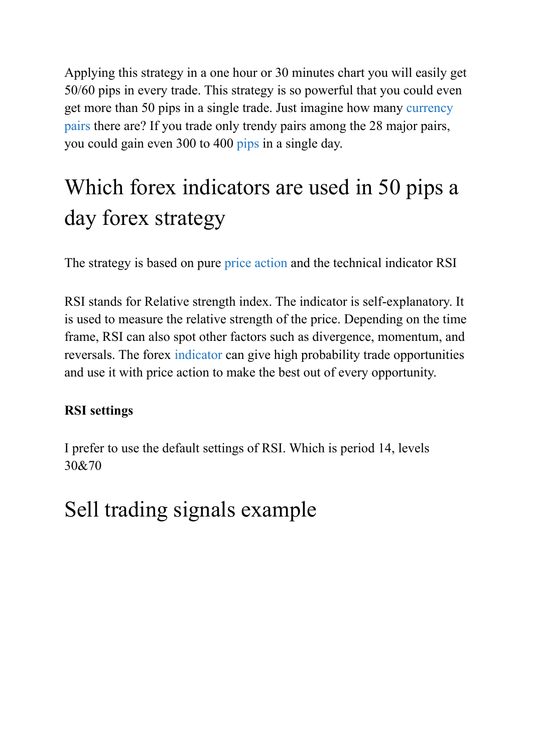Applying this strategy in a one hour or 30 minutes chart you will easily get 50/60 pips in every trade. This strategy is so powerful that you could even get more than 50 pips in a single trade. Just imagine how many [currency](https://www.parkingpips.com/28-major-forex-pairs-list/) [pairs](https://www.parkingpips.com/28-major-forex-pairs-list/) there are? If you trade only trendy pairs among the 28 major pairs, you could gain even 300 to 400 [pips](https://www.parkingpips.com/what-is-a-pip-worth-in-forex-trading/) in a single day.

### Which forex indicators are used in 50 pips a day forex strategy

The strategy is based on pure [price action](https://www.parkingpips.com/3-ducks-trading-system/) and the technical indicator RSI

RSI stands for Relative strength index. The indicator is self-explanatory. It is used to measure the relative strength of the price. Depending on the time frame, RSI can also spot other factors such as divergence, momentum, and reversals. The forex [indicator](https://www.parkingpips.com/non-repaint-reversal-indicator-mt4-free-download/) can give high probability trade opportunities and use it with price action to make the best out of every opportunity.

#### **RSI settings**

I prefer to use the default settings of RSI. Which is period 14, levels 30&70

#### Sell trading signals example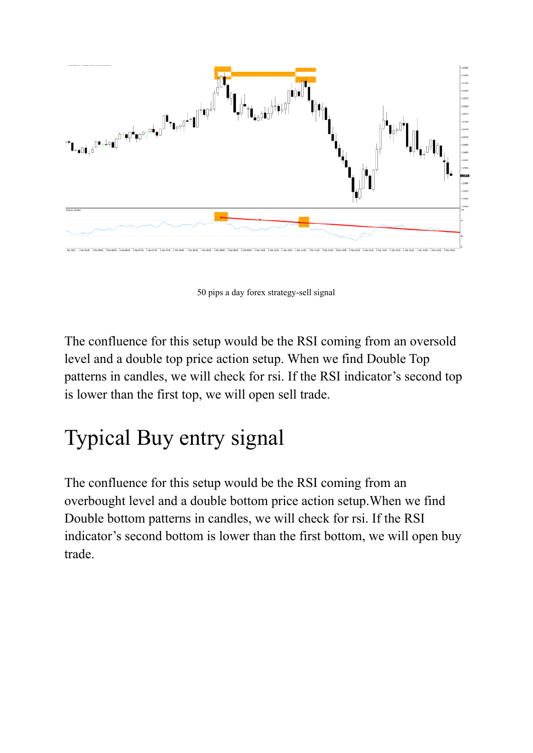

50 pips a day forex strategy-sell signal

The confluence for this setup would be the RSI coming from an oversold level and a double top price action setup. When we find Double Top patterns in candles, we will check for rsi. If the RSI indicator's second top is lower than the first top, we will open sell trade.

#### Typical Buy entry signal

The confluence for this setup would be the RSI coming from an overbought level and a double bottom price action setup.When we find Double bottom patterns in candles, we will check for rsi. If the RSI indicator's second bottom is lower than the first bottom, we will open buy trade.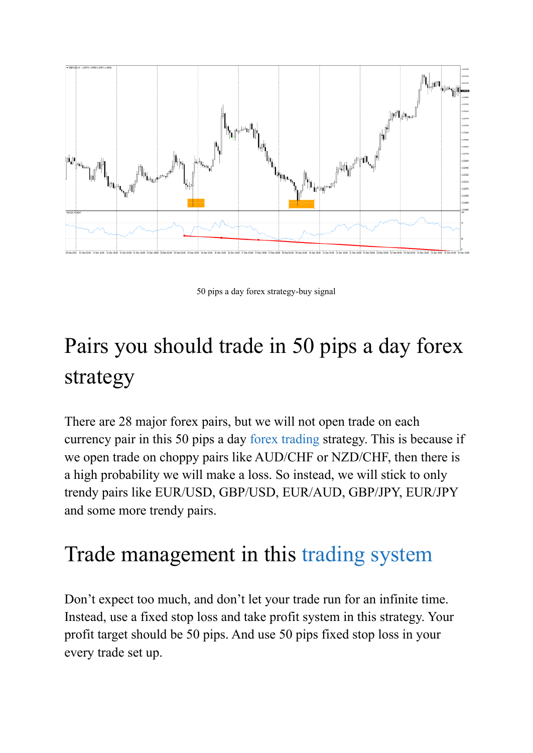

50 pips a day forex strategy-buy signal

## Pairs you should trade in 50 pips a day forex strategy

There are 28 major forex pairs, but we will not open trade on each currency pair in this 50 pips a day [forex trading](https://www.parkingpips.com/what-is-forex-trading/) strategy. This is because if we open trade on choppy pairs like AUD/CHF or NZD/CHF, then there is a high probability we will make a loss. So instead, we will stick to only trendy pairs like EUR/USD, GBP/USD, EUR/AUD, GBP/JPY, EUR/JPY and some more trendy pairs.

#### Trade management in this [trading](https://www.parkingpips.com/20-pip-and-dip-strategy/) system

Don't expect too much, and don't let your trade run for an infinite time. Instead, use a fixed stop loss and take profit system in this strategy. Your profit target should be 50 pips. And use 50 pips fixed stop loss in your every trade set up.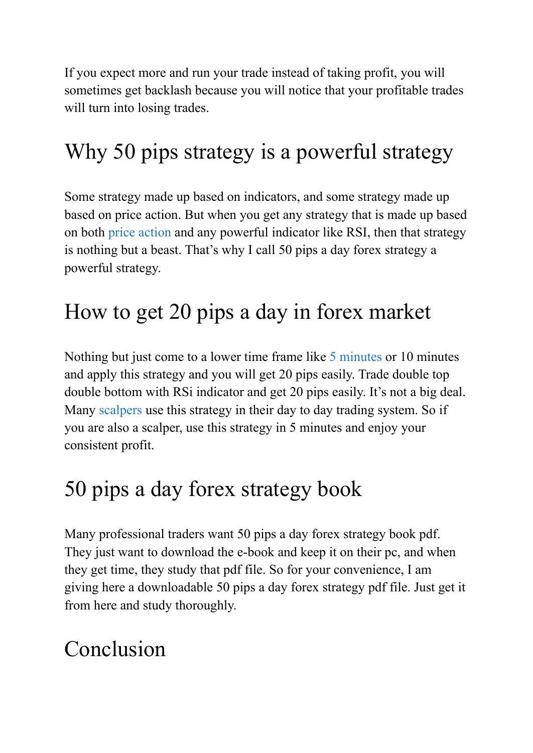If you expect more and run your trade instead of taking profit, you will sometimes get backlash because you will notice that your profitable trades will turn into losing trades.

#### Why 50 pips strategy is a powerful strategy

Some strategy made up based on indicators, and some strategy made up based on price action. But when you get any strategy that is made up based on both [price action](https://www.parkingpips.com/4-hour-forex-simple-system/) and any powerful indicator like RSI, then that strategy is nothing but a beast. That's why I call 50 pips a day forex strategy a powerful strategy.

#### How to get 20 pips a day in forex market

Nothing but just come to a lower time frame like 5 [minutes](https://www.parkingpips.com/5-minute-opening-range-breakout/) or 10 minutes and apply this strategy and you will get 20 pips easily. Trade double top double bottom with RSi indicator and get 20 pips easily. It's not a big deal. Many [scalpers](https://www.parkingpips.com/10-pips-per-day-scalping-strategy/) use this strategy in their day to day trading system. So if you are also a scalper, use this strategy in 5 minutes and enjoy your consistent profit.

#### 50 pips a day forex strategy book

Many professional traders want 50 pips a day forex strategy book pdf. They just want to download the e-book and keep it on their pc, and when they get time, they study that pdf file. So for your convenience, I am giving here a downloadable 50 pips a day forex strategy pdf file. Just get it from here and study thoroughly.

#### Conclusion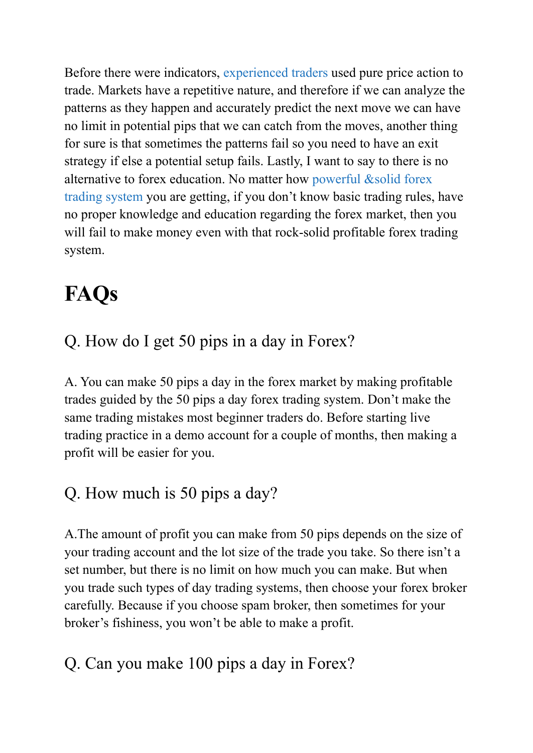Before there were indicators, [experienced traders](https://www.fxstreet.com/author/kathy-lien) used pure price action to trade. Markets have a repetitive nature, and therefore if we can analyze the patterns as they happen and accurately predict the next move we can have no limit in potential pips that we can catch from the moves, another thing for sure is that sometimes the patterns fail so you need to have an exit strategy if else a potential setup fails. Lastly, I want to say to there is no alternative to forex education. No matter how powerful [&solid forex](https://www.parkingpips.com/20-pips-a-day-forex-strategy/) [trading system](https://www.parkingpips.com/20-pips-a-day-forex-strategy/) you are getting, if you don't know basic trading rules, have no proper knowledge and education regarding the forex market, then you will fail to make money even with that rock-solid profitable forex trading system.

### **FAQs**

#### Q. How do I get 50 pips in a day in Forex?

A. You can make 50 pips a day in the forex market by making profitable trades guided by the 50 pips a day forex trading system. Don't make the same trading mistakes most beginner traders do. Before starting live trading practice in a demo account for a couple of months, then making a profit will be easier for you.

#### Q. How much is 50 pips a day?

A.The amount of profit you can make from 50 pips depends on the size of your trading account and the lot size of the trade you take. So there isn't a set number, but there is no limit on how much you can make. But when you trade such types of day trading systems, then choose your forex broker carefully. Because if you choose spam broker, then sometimes for your broker's fishiness, you won't be able to make a profit.

#### Q. Can you make 100 pips a day in Forex?